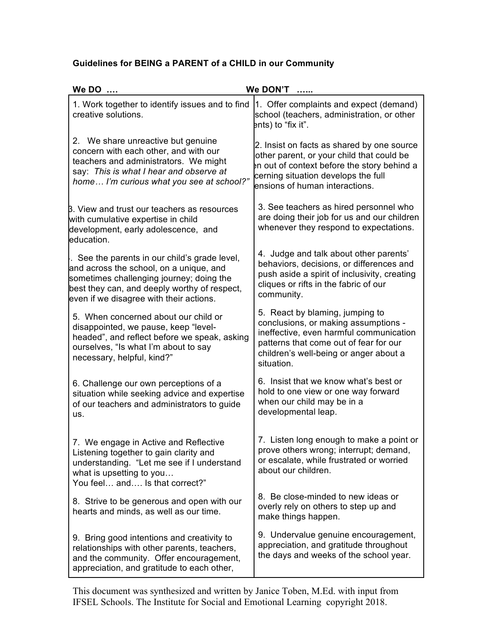## **Guidelines for BEING a PARENT of a CHILD in our Community**

| We DO                                                                                                                                                                                                                         | We DON'T                                                                                                                                                                                                             |
|-------------------------------------------------------------------------------------------------------------------------------------------------------------------------------------------------------------------------------|----------------------------------------------------------------------------------------------------------------------------------------------------------------------------------------------------------------------|
| 1. Work together to identify issues and to find<br>creative solutions.                                                                                                                                                        | 1. Offer complaints and expect (demand)<br>school (teachers, administration, or other<br>ents) to "fix it".                                                                                                          |
| 2. We share unreactive but genuine<br>concern with each other, and with our<br>teachers and administrators. We might<br>say: This is what I hear and observe at<br>home I'm curious what you see at school?"                  | 2. Insist on facts as shared by one source<br>other parent, or your child that could be<br>In out of context before the story behind a<br>cerning situation develops the full<br>ensions of human interactions.      |
| B. View and trust our teachers as resources<br>with cumulative expertise in child<br>development, early adolescence, and<br>education.                                                                                        | 3. See teachers as hired personnel who<br>are doing their job for us and our children<br>whenever they respond to expectations.                                                                                      |
| See the parents in our child's grade level,<br>and across the school, on a unique, and<br>sometimes challenging journey; doing the<br>best they can, and deeply worthy of respect,<br>even if we disagree with their actions. | 4. Judge and talk about other parents'<br>behaviors, decisions, or differences and<br>push aside a spirit of inclusivity, creating<br>cliques or rifts in the fabric of our<br>community.                            |
| 5. When concerned about our child or<br>disappointed, we pause, keep "level-<br>headed", and reflect before we speak, asking<br>ourselves, "Is what I'm about to say<br>necessary, helpful, kind?"                            | 5. React by blaming, jumping to<br>conclusions, or making assumptions -<br>ineffective, even harmful communication<br>patterns that come out of fear for our<br>children's well-being or anger about a<br>situation. |
| 6. Challenge our own perceptions of a<br>situation while seeking advice and expertise<br>of our teachers and administrators to guide<br>us.                                                                                   | 6. Insist that we know what's best or<br>hold to one view or one way forward<br>when our child may be in a<br>developmental leap.                                                                                    |
| 7. We engage in Active and Reflective<br>Listening together to gain clarity and<br>understanding. "Let me see if I understand<br>what is upsetting to you<br>You feel and Is that correct?"                                   | 7. Listen long enough to make a point or<br>prove others wrong; interrupt; demand,<br>or escalate, while frustrated or worried<br>about our children.                                                                |
| 8. Strive to be generous and open with our<br>hearts and minds, as well as our time.                                                                                                                                          | 8. Be close-minded to new ideas or<br>overly rely on others to step up and<br>make things happen.                                                                                                                    |
| 9. Bring good intentions and creativity to<br>relationships with other parents, teachers,<br>and the community. Offer encouragement,<br>appreciation, and gratitude to each other,                                            | 9. Undervalue genuine encouragement,<br>appreciation, and gratitude throughout<br>the days and weeks of the school year.                                                                                             |

This document was synthesized and written by Janice Toben, M.Ed. with input from IFSEL Schools. The Institute for Social and Emotional Learning copyright 2018.